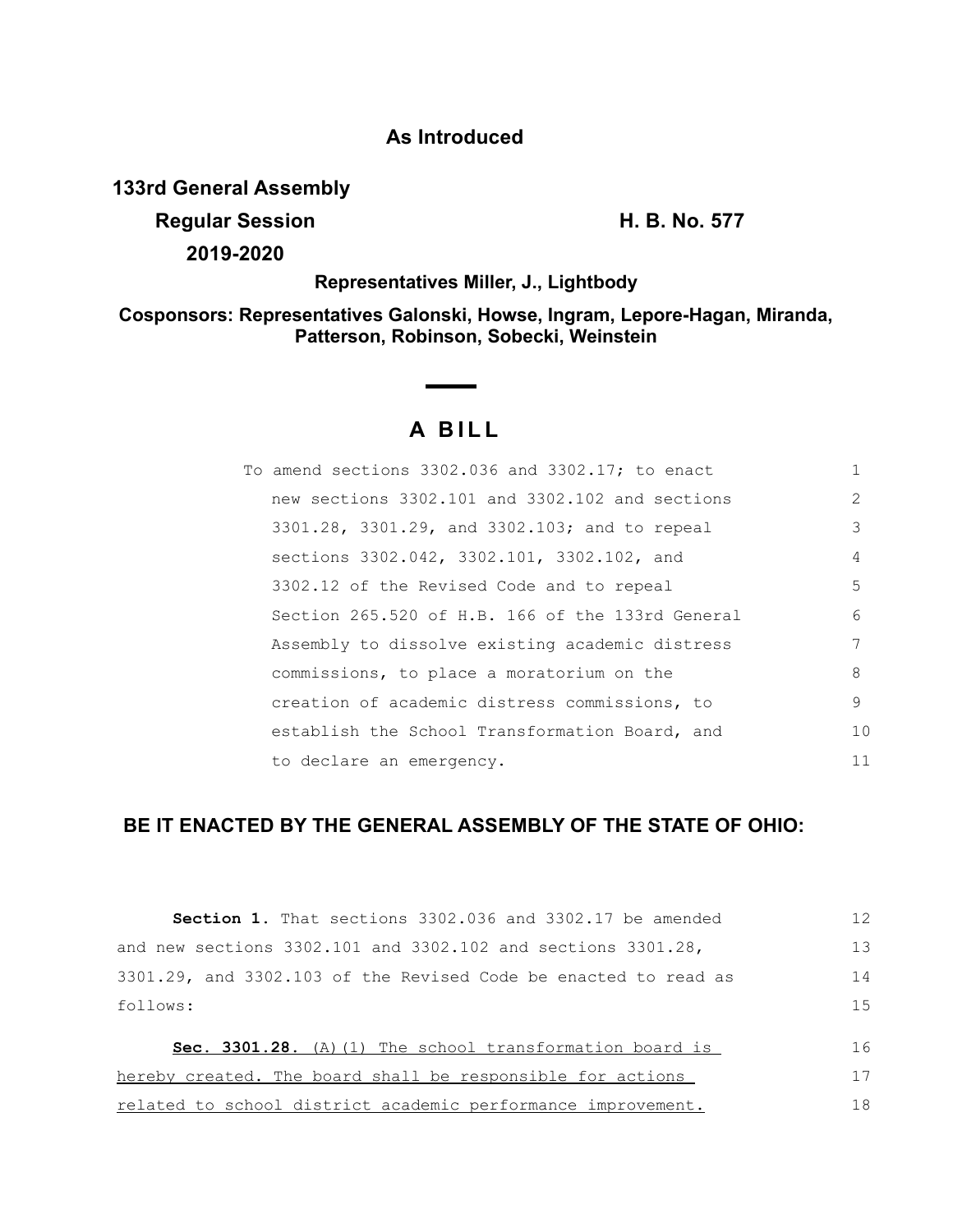## **As Introduced**

**133rd General Assembly**

**Regular Session H. B. No. 577**

**2019-2020**

**Representatives Miller, J., Lightbody**

**Cosponsors: Representatives Galonski, Howse, Ingram, Lepore-Hagan, Miranda, Patterson, Robinson, Sobecki, Weinstein**

## **A B I L L**

| To amend sections 3302.036 and 3302.17; to enact | $\mathbf{1}$  |
|--------------------------------------------------|---------------|
| new sections 3302.101 and 3302.102 and sections  | $\mathcal{L}$ |
| 3301.28, 3301.29, and 3302.103; and to repeal    | 3             |
| sections 3302.042, 3302.101, 3302.102, and       | 4             |
| 3302.12 of the Revised Code and to repeal        | .5            |
| Section 265.520 of H.B. 166 of the 133rd General | 6             |
| Assembly to dissolve existing academic distress  | 7             |
| commissions, to place a moratorium on the        | 8             |
| creation of academic distress commissions, to    | 9             |
| establish the School Transformation Board, and   | 10            |
| to declare an emergency.                         | 11            |

## **BE IT ENACTED BY THE GENERAL ASSEMBLY OF THE STATE OF OHIO:**

| Section 1. That sections 3302.036 and 3302.17 be amended            | 12 |
|---------------------------------------------------------------------|----|
| and new sections $3302.101$ and $3302.102$ and sections $3301.28$ , | 13 |
| 3301.29, and 3302.103 of the Revised Code be enacted to read as     | 14 |
| follows:                                                            | 15 |
| Sec. 3301.28. (A) (1) The school transformation board is            | 16 |
| hereby created. The board shall be responsible for actions          | 17 |
| related to school district academic performance improvement.        | 18 |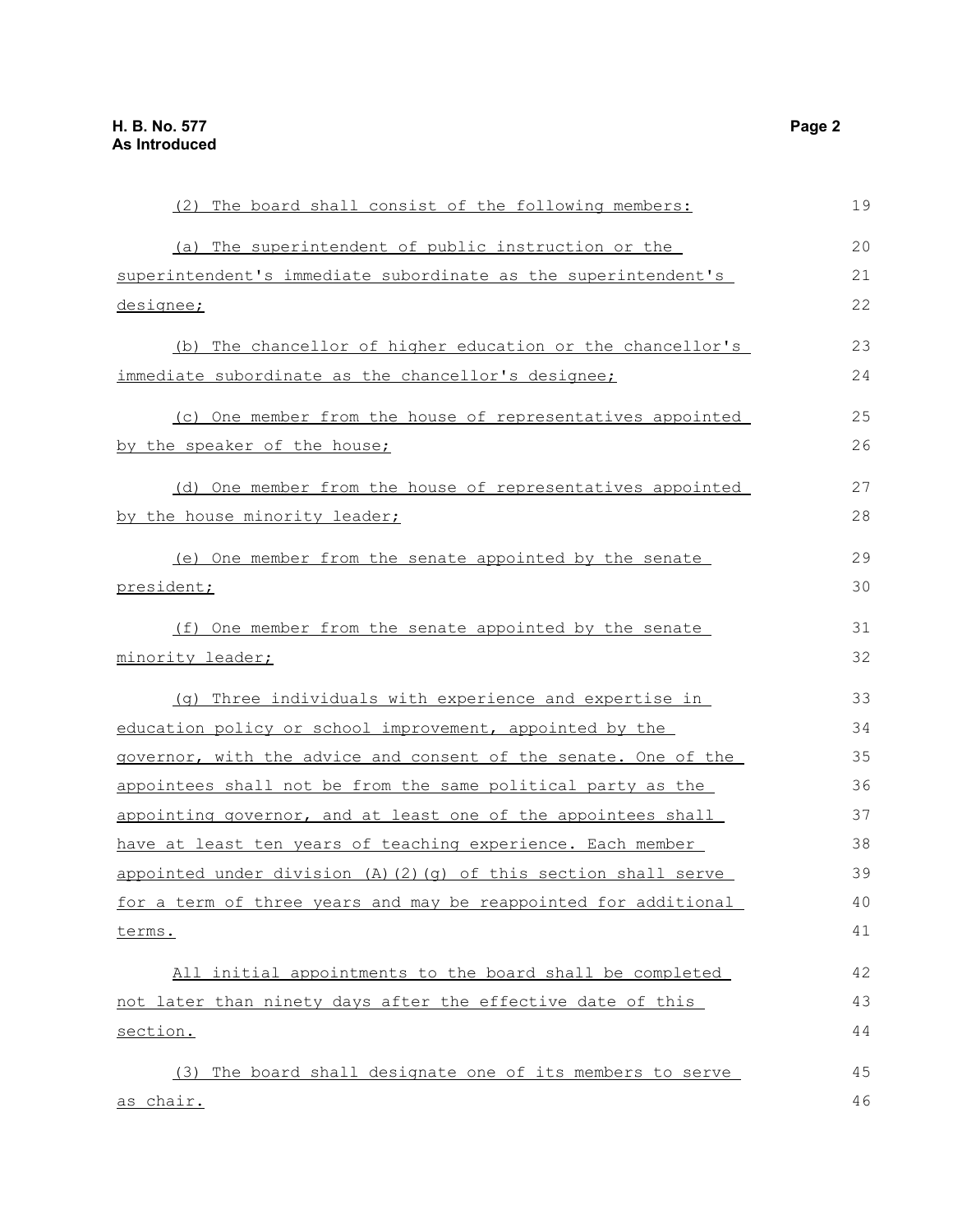| (2) The board shall consist of the following members:                  | 19 |
|------------------------------------------------------------------------|----|
| (a) The superintendent of public instruction or the                    | 20 |
| superintendent's immediate subordinate as the superintendent's         | 21 |
| designee;                                                              | 22 |
| (b) The chancellor of higher education or the chancellor's             | 23 |
| immediate subordinate as the chancellor's designee;                    | 24 |
| (c) One member from the house of representatives appointed             | 25 |
| by the speaker of the house;                                           | 26 |
| (d) One member from the house of representatives appointed             | 27 |
| by the house minority leader;                                          | 28 |
| (e) One member from the senate appointed by the senate                 | 29 |
| president;                                                             | 30 |
| (f) One member from the senate appointed by the senate                 | 31 |
| minority leader;                                                       | 32 |
| (q) Three individuals with experience and expertise in                 | 33 |
| education policy or school improvement, appointed by the               | 34 |
| governor, with the advice and consent of the senate. One of the        | 35 |
| appointees shall not be from the same political party as the           | 36 |
| appointing governor, and at least one of the appointees shall          | 37 |
| have at least ten years of teaching experience. Each member            | 38 |
| appointed under division $(A)$ $(2)$ $(q)$ of this section shall serve | 39 |
| for a term of three years and may be reappointed for additional        | 40 |
| terms.                                                                 | 41 |
| All initial appointments to the board shall be completed               | 42 |
| not later than ninety days after the effective date of this            | 43 |
| section.                                                               | 44 |
| (3) The board shall designate one of its members to serve              | 45 |
| as chair.                                                              | 46 |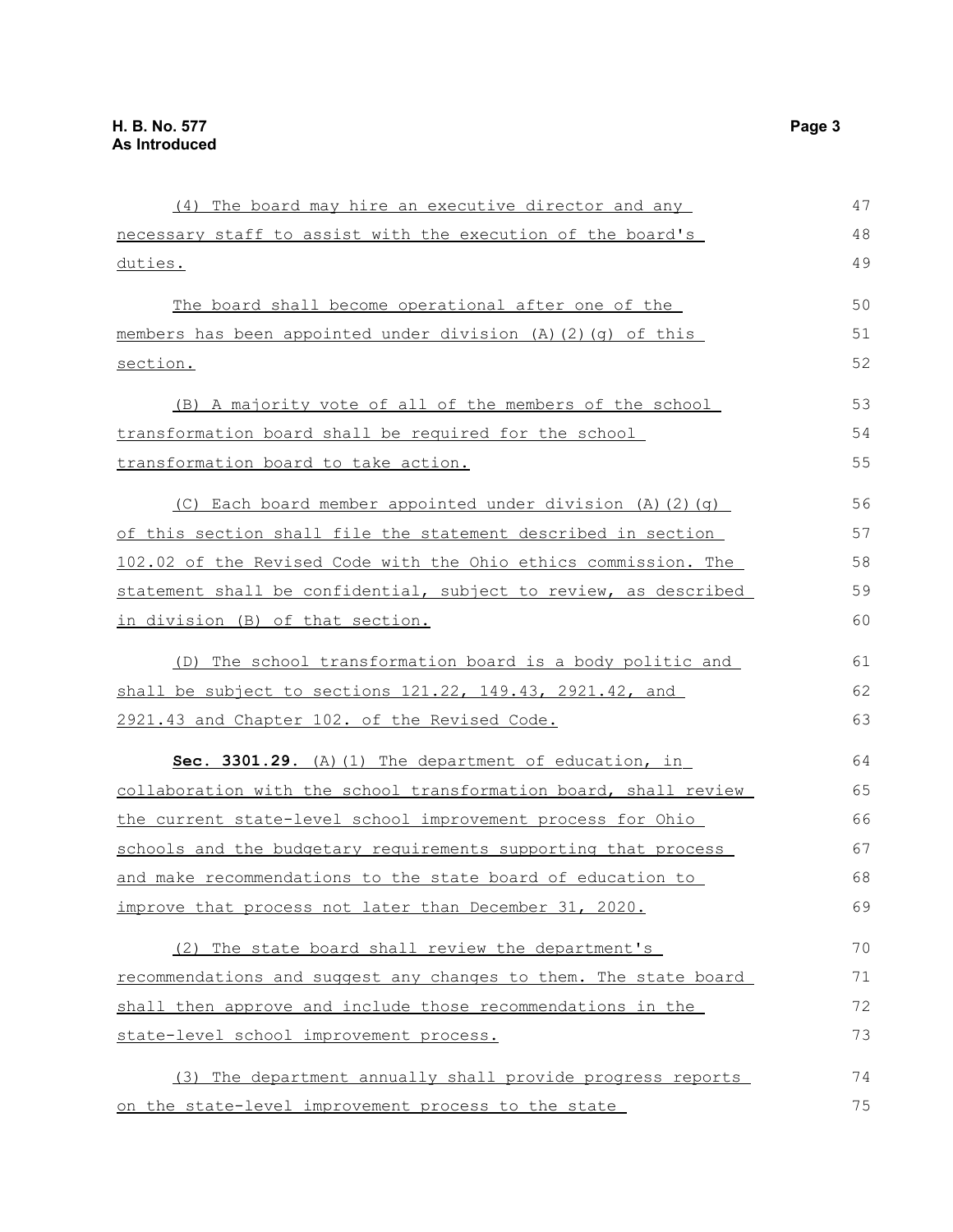| (4) The board may hire an executive director and any             | 47 |
|------------------------------------------------------------------|----|
| necessary staff to assist with the execution of the board's      | 48 |
| duties.                                                          | 49 |
| The board shall become operational after one of the              | 50 |
| members has been appointed under division (A) (2) (g) of this    | 51 |
| section.                                                         | 52 |
| (B) A majority vote of all of the members of the school          | 53 |
| transformation board shall be required for the school            | 54 |
| transformation board to take action.                             | 55 |
| (C) Each board member appointed under division (A) (2) (q)       | 56 |
| of this section shall file the statement described in section    | 57 |
| 102.02 of the Revised Code with the Ohio ethics commission. The  | 58 |
| statement shall be confidential, subject to review, as described | 59 |
| in division (B) of that section.                                 | 60 |
| (D) The school transformation board is a body politic and        | 61 |
| shall be subject to sections 121.22, 149.43, 2921.42, and        | 62 |
| 2921.43 and Chapter 102. of the Revised Code.                    | 63 |
| Sec. 3301.29. (A) (1) The department of education, in            | 64 |
| collaboration with the school transformation board, shall review | 65 |
| the current state-level school improvement process for Ohio      | 66 |
| schools and the budgetary requirements supporting that process   | 67 |
| and make recommendations to the state board of education to      | 68 |
| improve that process not later than December 31, 2020.           | 69 |
| (2) The state board shall review the department's                | 70 |
| recommendations and suggest any changes to them. The state board | 71 |
| shall then approve and include those recommendations in the      | 72 |
| state-level school improvement process.                          | 73 |
| (3) The department annually shall provide progress reports       | 74 |
| on the state-level improvement process to the state              | 75 |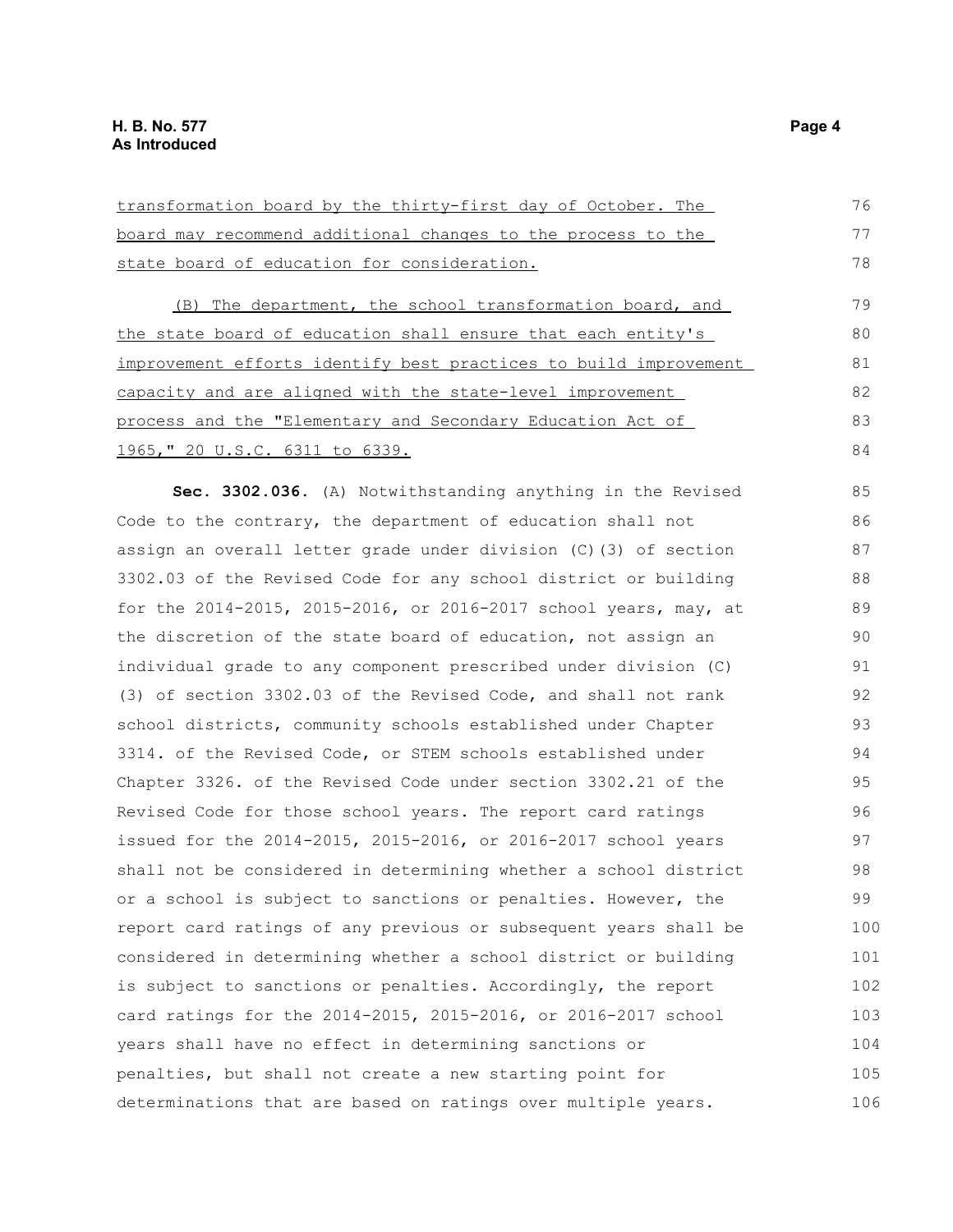| transformation board by the thirty-first day of October. The     | 76  |
|------------------------------------------------------------------|-----|
| board may recommend additional changes to the process to the     | 77  |
| state board of education for consideration.                      | 78  |
| (B) The department, the school transformation board, and         | 79  |
| the state board of education shall ensure that each entity's     | 80  |
| improvement efforts identify best practices to build improvement | 81  |
| capacity and are aligned with the state-level improvement        | 82  |
| process and the "Elementary and Secondary Education Act of       | 83  |
| <u>1965, " 20 U.S.C. 6311 to 6339.</u>                           | 84  |
| Sec. 3302.036. (A) Notwithstanding anything in the Revised       | 85  |
| Code to the contrary, the department of education shall not      | 86  |
| assign an overall letter grade under division (C) (3) of section | 87  |
| 3302.03 of the Revised Code for any school district or building  | 88  |
| for the 2014-2015, 2015-2016, or 2016-2017 school years, may, at | 89  |
| the discretion of the state board of education, not assign an    | 90  |
| individual grade to any component prescribed under division (C)  | 91  |
| (3) of section 3302.03 of the Revised Code, and shall not rank   | 92  |
| school districts, community schools established under Chapter    | 93  |
| 3314. of the Revised Code, or STEM schools established under     | 94  |
| Chapter 3326. of the Revised Code under section 3302.21 of the   | 95  |
| Revised Code for those school years. The report card ratings     | 96  |
| issued for the 2014-2015, 2015-2016, or 2016-2017 school years   | 97  |
| shall not be considered in determining whether a school district | 98  |
| or a school is subject to sanctions or penalties. However, the   | 99  |
| report card ratings of any previous or subsequent years shall be | 100 |
| considered in determining whether a school district or building  | 101 |
| is subject to sanctions or penalties. Accordingly, the report    | 102 |
| card ratings for the 2014-2015, 2015-2016, or 2016-2017 school   | 103 |
| years shall have no effect in determining sanctions or           | 104 |
| penalties, but shall not create a new starting point for         | 105 |
| determinations that are based on ratings over multiple years.    | 106 |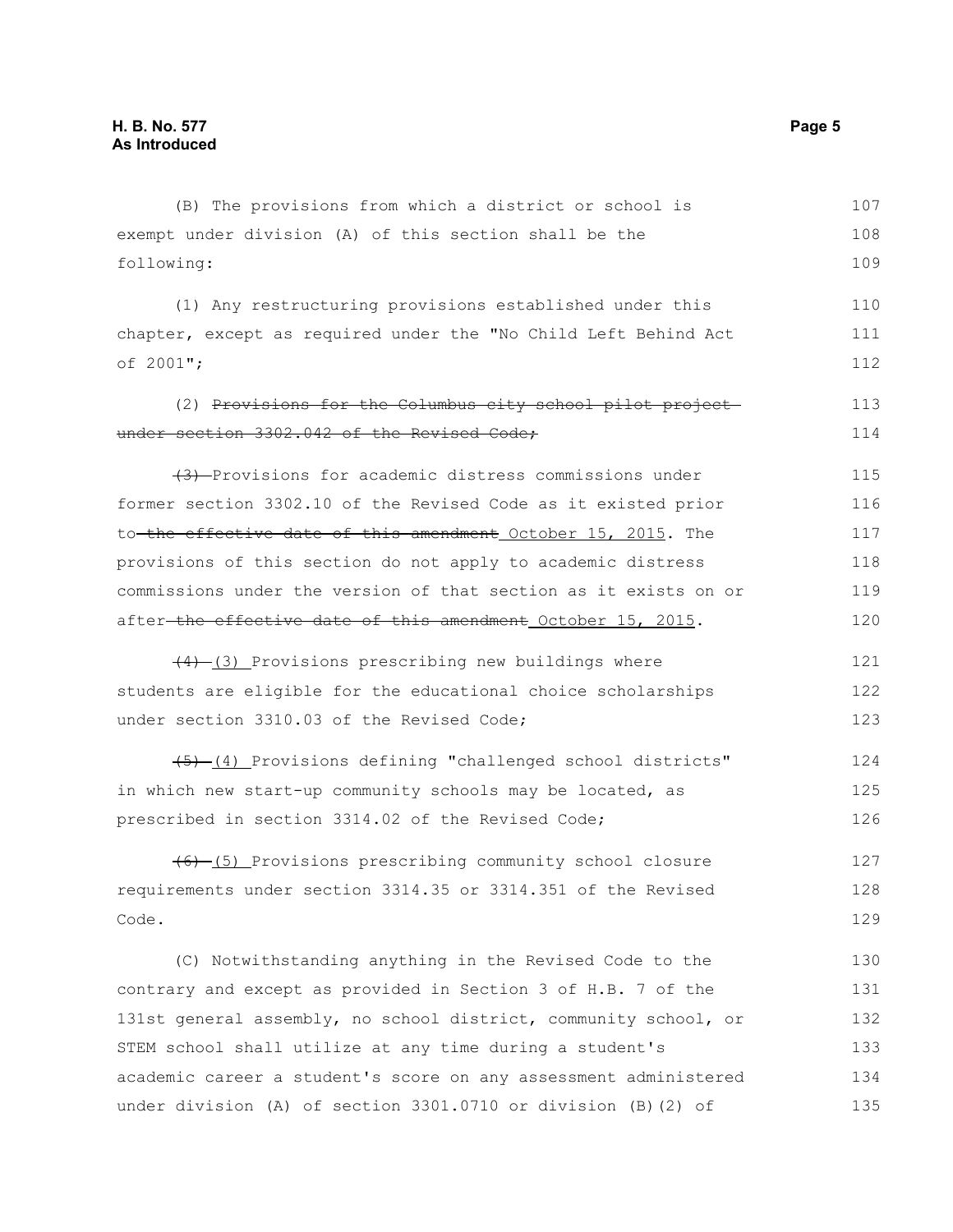| (B) The provisions from which a district or school is            | 107 |
|------------------------------------------------------------------|-----|
| exempt under division (A) of this section shall be the           | 108 |
| following:                                                       | 109 |
| (1) Any restructuring provisions established under this          | 110 |
| chapter, except as required under the "No Child Left Behind Act  | 111 |
| of 2001";                                                        | 112 |
| (2) Provisions for the Columbus city school pilot project-       | 113 |
| under section 3302.042 of the Revised Code;                      | 114 |
| (3) Provisions for academic distress commissions under           | 115 |
| former section 3302.10 of the Revised Code as it existed prior   | 116 |
| to the effective date of this amendment October 15, 2015. The    | 117 |
| provisions of this section do not apply to academic distress     | 118 |
| commissions under the version of that section as it exists on or | 119 |
| after-the effective date of this amendment October 15, 2015.     | 120 |
| $\frac{(4)-(3)}{2}$ Provisions prescribing new buildings where   | 121 |
| students are eligible for the educational choice scholarships    | 122 |
| under section 3310.03 of the Revised Code;                       | 123 |
| (5) (4) Provisions defining "challenged school districts"        | 124 |
| in which new start-up community schools may be located, as       | 125 |
| prescribed in section 3314.02 of the Revised Code;               | 126 |
| (6) (5) Provisions prescribing community school closure          | 127 |
| requirements under section 3314.35 or 3314.351 of the Revised    | 128 |
| Code.                                                            | 129 |
| (C) Notwithstanding anything in the Revised Code to the          | 130 |
| contrary and except as provided in Section 3 of H.B. 7 of the    | 131 |
| 131st general assembly, no school district, community school, or | 132 |
| STEM school shall utilize at any time during a student's         | 133 |
| academic career a student's score on any assessment administered | 134 |
| under division (A) of section 3301.0710 or division (B) (2) of   | 135 |
|                                                                  |     |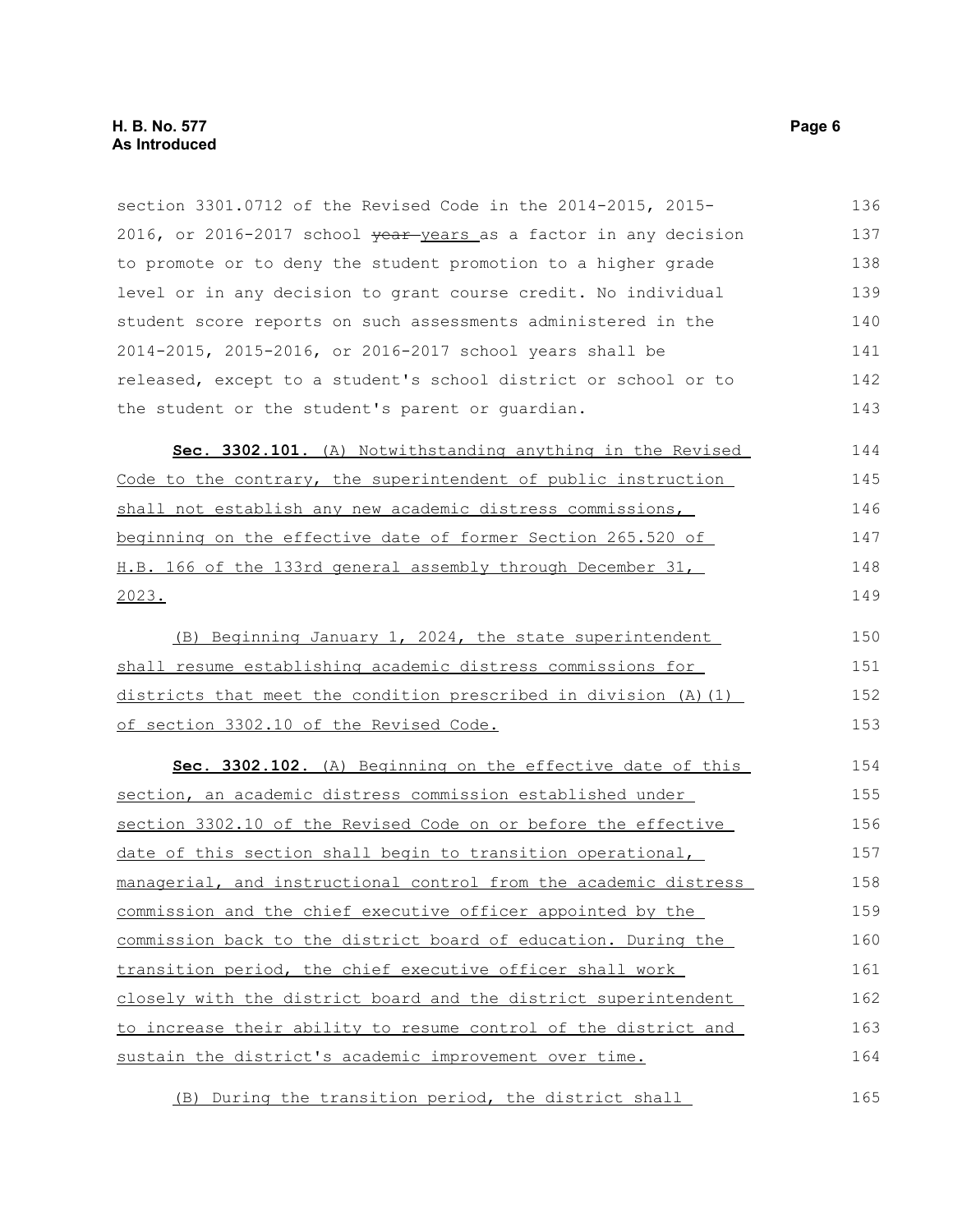section 3301.0712 of the Revised Code in the 2014-2015, 2015- 2016, or 2016-2017 school vear-years as a factor in any decision to promote or to deny the student promotion to a higher grade level or in any decision to grant course credit. No individual student score reports on such assessments administered in the 2014-2015, 2015-2016, or 2016-2017 school years shall be released, except to a student's school district or school or to the student or the student's parent or guardian. **Sec. 3302.101.** (A) Notwithstanding anything in the Revised Code to the contrary, the superintendent of public instruction shall not establish any new academic distress commissions, beginning on the effective date of former Section 265.520 of H.B. 166 of the 133rd general assembly through December 31, 136 137 138 139 140 141 142 143 144 145 146 147 148

2023.

(B) Beginning January 1, 2024, the state superintendent shall resume establishing academic distress commissions for districts that meet the condition prescribed in division (A)(1) of section 3302.10 of the Revised Code. 150 151 152 153

 **Sec. 3302.102.** (A) Beginning on the effective date of this section, an academic distress commission established under section 3302.10 of the Revised Code on or before the effective date of this section shall begin to transition operational, managerial, and instructional control from the academic distress commission and the chief executive officer appointed by the commission back to the district board of education. During the transition period, the chief executive officer shall work closely with the district board and the district superintendent to increase their ability to resume control of the district and sustain the district's academic improvement over time. 154 155 156 157 158 159 160 161 162 163 164

(B) During the transition period, the district shall 165

149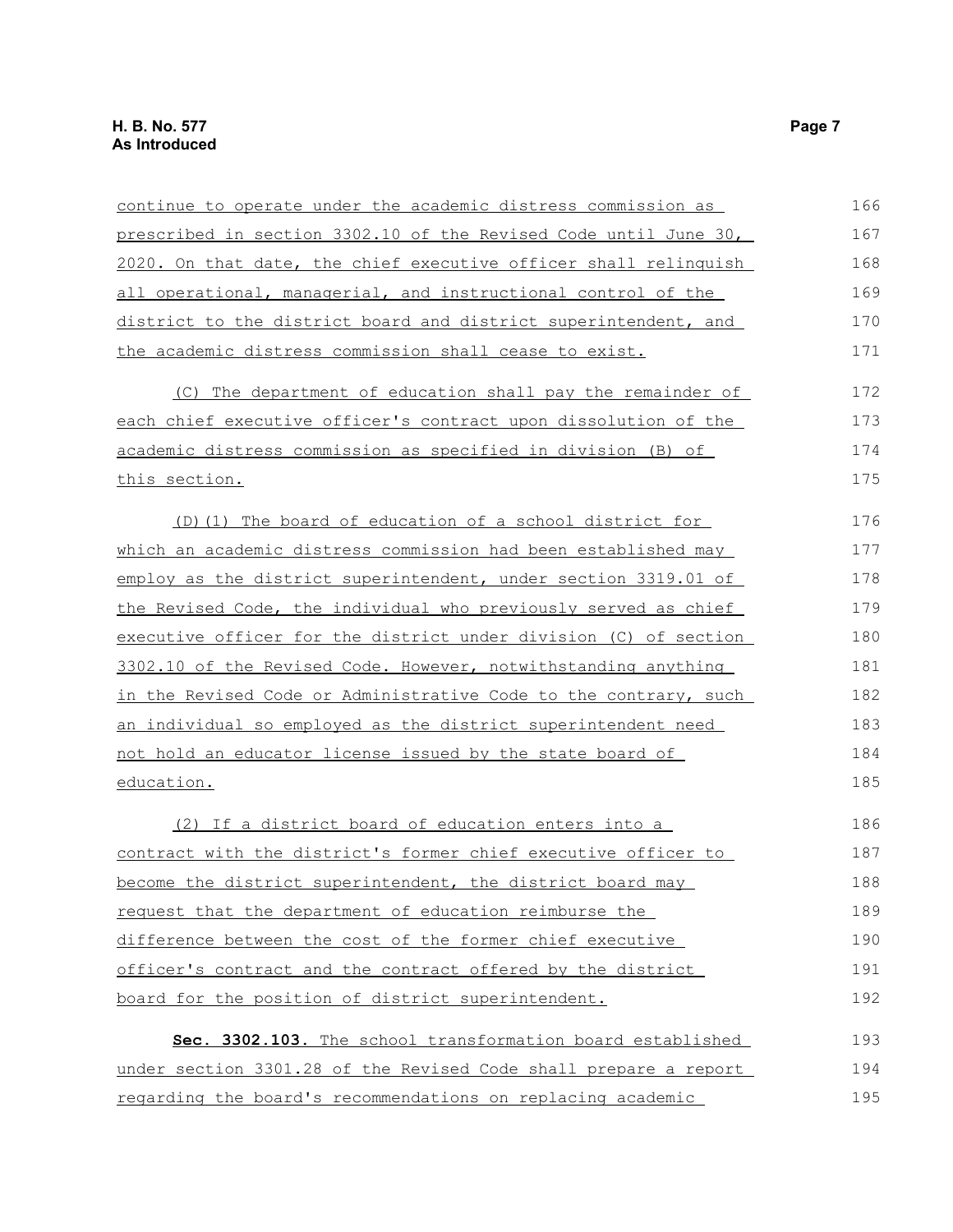| continue to operate under the academic distress commission as         | 166 |
|-----------------------------------------------------------------------|-----|
| prescribed in section 3302.10 of the Revised Code until June 30,      | 167 |
| 2020. On that date, the chief executive officer shall relinquish      | 168 |
| all operational, managerial, and instructional control of the         | 169 |
| district to the district board and district superintendent, and       | 170 |
| the academic distress commission shall cease to exist.                | 171 |
| (C) The department of education shall pay the remainder of            | 172 |
| each chief executive officer's contract upon dissolution of the       | 173 |
| academic distress commission as specified in division (B) of          | 174 |
| this section.                                                         | 175 |
| (D)(1) The board of education of a school district for                | 176 |
| <u>which an academic distress commission had been established may</u> | 177 |
| employ as the district superintendent, under section 3319.01 of       | 178 |
| the Revised Code, the individual who previously served as chief       | 179 |
| executive officer for the district under division (C) of section      | 180 |
| 3302.10 of the Revised Code. However, notwithstanding anything        | 181 |
| in the Revised Code or Administrative Code to the contrary, such      | 182 |
| an individual so employed as the district superintendent need         | 183 |
| not hold an educator license issued by the state board of             | 184 |
| education.                                                            | 185 |
| (2) If a district board of education enters into a                    | 186 |
| contract with the district's former chief executive officer to        | 187 |
| become the district superintendent, the district board may            | 188 |
| request that the department of education reimburse the                | 189 |
| difference between the cost of the former chief executive             | 190 |
| officer's contract and the contract offered by the district           | 191 |
| board for the position of district superintendent.                    | 192 |
| Sec. 3302.103. The school transformation board established            | 193 |
| under section 3301.28 of the Revised Code shall prepare a report      | 194 |
| regarding the board's recommendations on replacing academic           | 195 |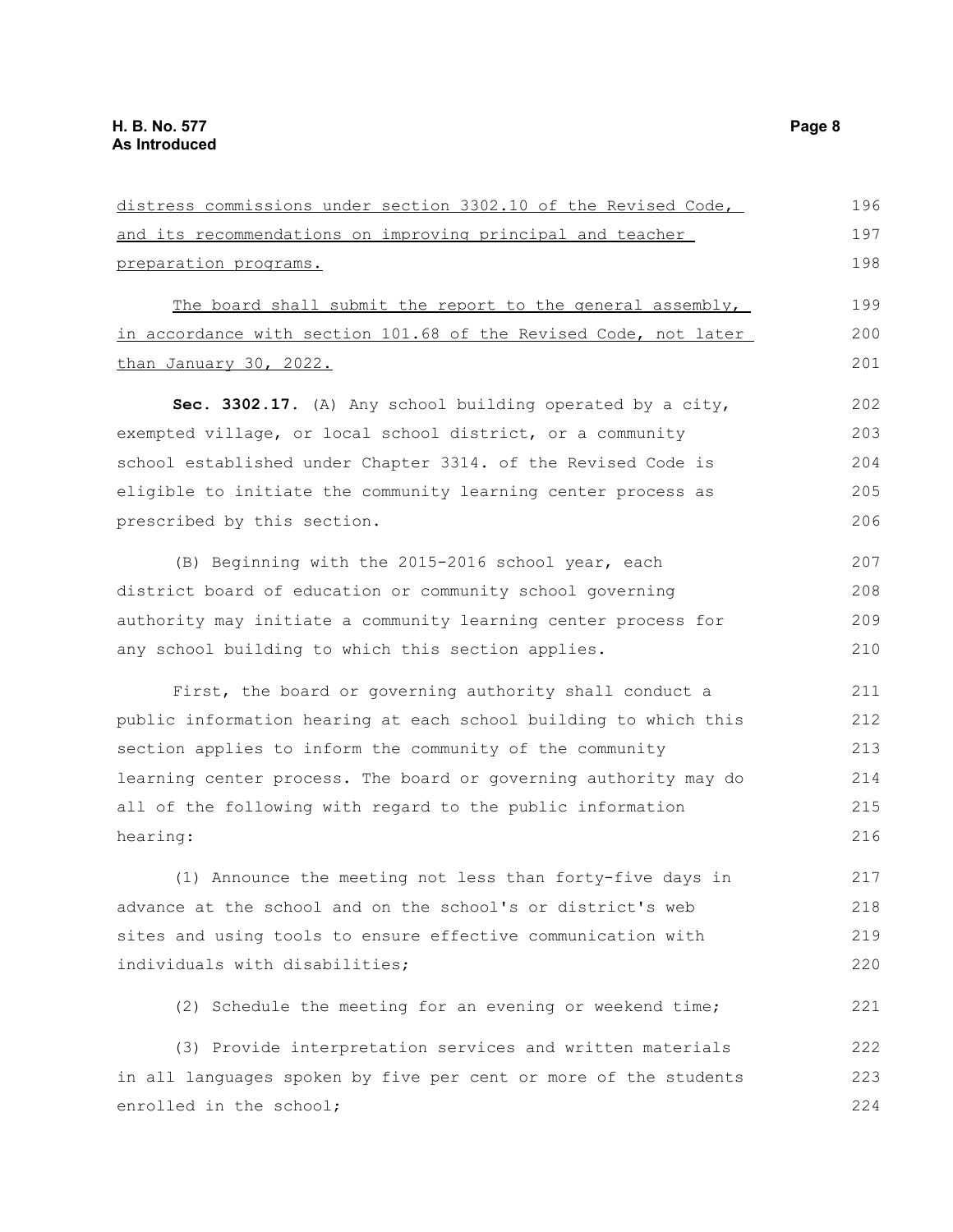| distress commissions under section 3302.10 of the Revised Code,  |     |
|------------------------------------------------------------------|-----|
| and its recommendations on improving principal and teacher       |     |
| preparation programs.                                            | 198 |
| The board shall submit the report to the general assembly,       | 199 |
| in accordance with section 101.68 of the Revised Code, not later | 200 |
| than January 30, 2022.                                           | 201 |
| Sec. 3302.17. (A) Any school building operated by a city,        | 202 |
| exempted village, or local school district, or a community       | 203 |
| school established under Chapter 3314. of the Revised Code is    | 204 |
| eligible to initiate the community learning center process as    | 205 |
| prescribed by this section.                                      | 206 |
| (B) Beginning with the 2015-2016 school year, each               | 207 |
| district board of education or community school governing        | 208 |
| authority may initiate a community learning center process for   | 209 |
| any school building to which this section applies.               | 210 |
| First, the board or governing authority shall conduct a          | 211 |
| public information hearing at each school building to which this | 212 |
| section applies to inform the community of the community         | 213 |
| learning center process. The board or governing authority may do | 214 |
| all of the following with regard to the public information       | 215 |
| hearing:                                                         | 216 |
| (1) Announce the meeting not less than forty-five days in        | 217 |
| advance at the school and on the school's or district's web      | 218 |
| sites and using tools to ensure effective communication with     | 219 |
| individuals with disabilities;                                   | 220 |
| (2) Schedule the meeting for an evening or weekend time;         | 221 |
| (3) Provide interpretation services and written materials        | 222 |
| in all languages spoken by five per cent or more of the students | 223 |
| enrolled in the school;                                          | 224 |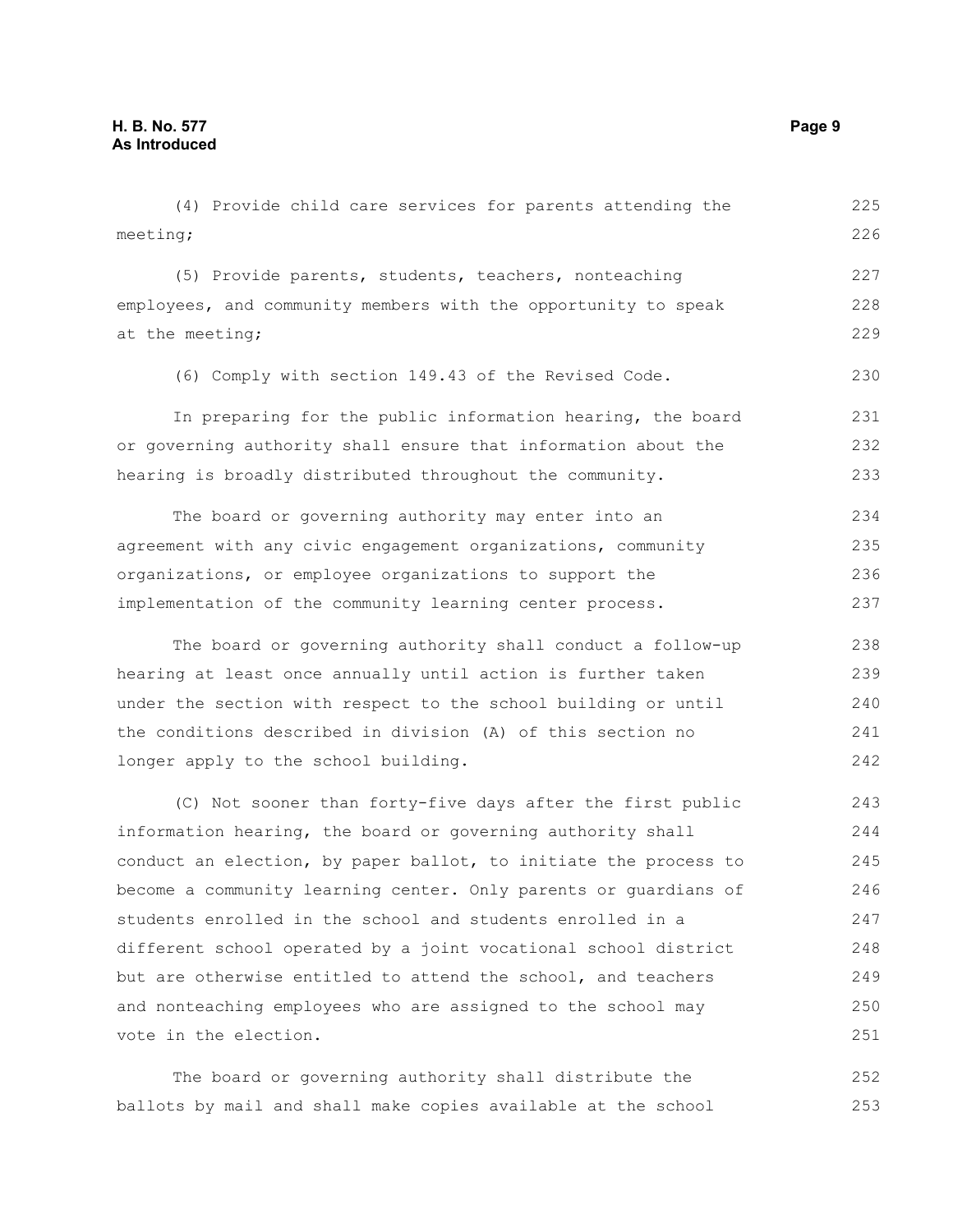(4) Provide child care services for parents attending the meeting; (5) Provide parents, students, teachers, nonteaching employees, and community members with the opportunity to speak at the meeting; (6) Comply with section 149.43 of the Revised Code. In preparing for the public information hearing, the board or governing authority shall ensure that information about the hearing is broadly distributed throughout the community. The board or governing authority may enter into an agreement with any civic engagement organizations, community organizations, or employee organizations to support the implementation of the community learning center process. The board or governing authority shall conduct a follow-up hearing at least once annually until action is further taken under the section with respect to the school building or until the conditions described in division (A) of this section no longer apply to the school building. (C) Not sooner than forty-five days after the first public information hearing, the board or governing authority shall conduct an election, by paper ballot, to initiate the process to become a community learning center. Only parents or guardians of students enrolled in the school and students enrolled in a different school operated by a joint vocational school district but are otherwise entitled to attend the school, and teachers and nonteaching employees who are assigned to the school may vote in the election. 225 226 227 228 229 230 231 232 233 234 235 236 237 238 239 240 241 242 243 244 245 246 247 248 249 250 251

The board or governing authority shall distribute the ballots by mail and shall make copies available at the school 252 253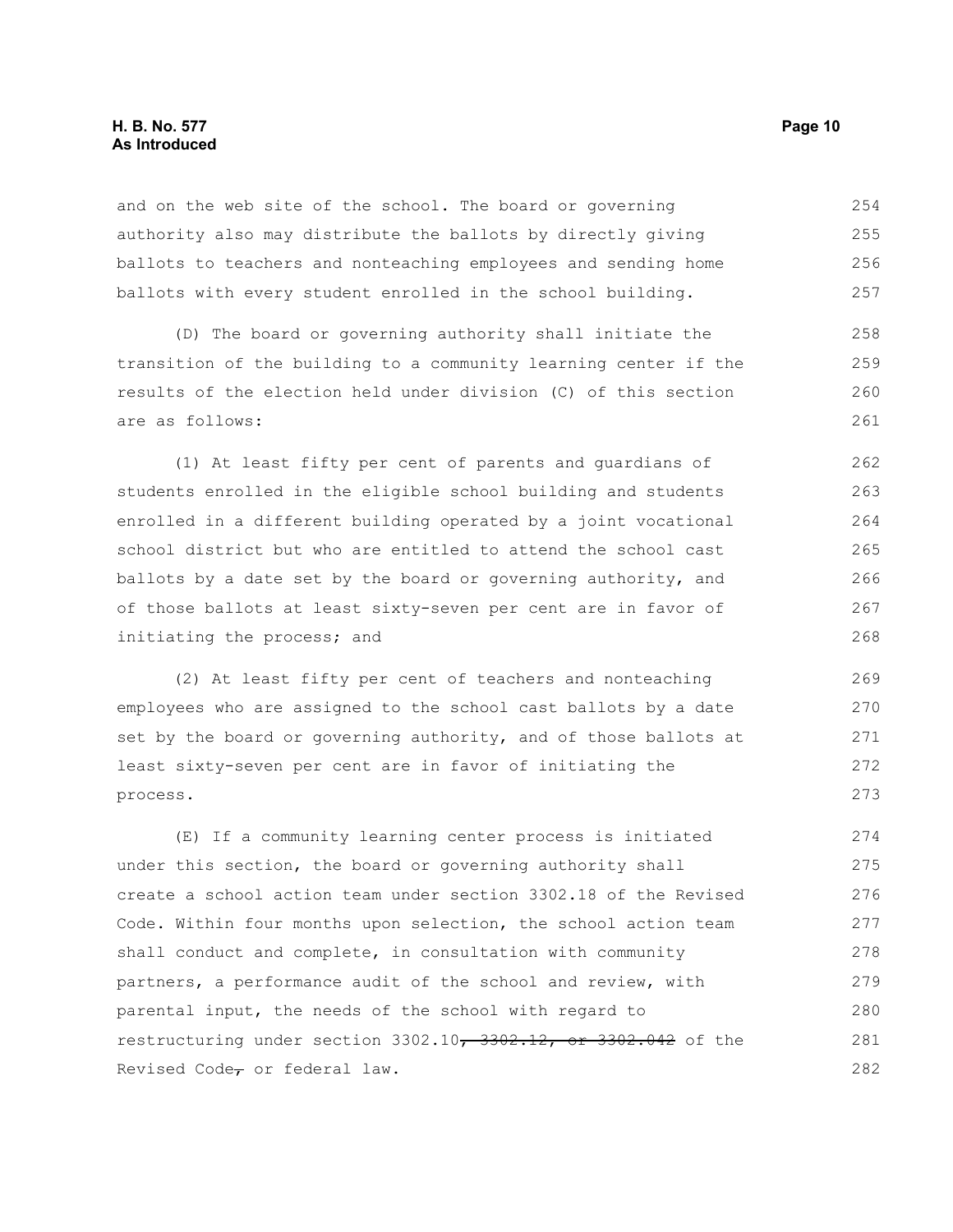## **H. B. No. 577 Page 10 As Introduced**

and on the web site of the school. The board or governing authority also may distribute the ballots by directly giving ballots to teachers and nonteaching employees and sending home ballots with every student enrolled in the school building. 254 255 256 257

(D) The board or governing authority shall initiate the transition of the building to a community learning center if the results of the election held under division (C) of this section are as follows:

(1) At least fifty per cent of parents and guardians of students enrolled in the eligible school building and students enrolled in a different building operated by a joint vocational school district but who are entitled to attend the school cast ballots by a date set by the board or governing authority, and of those ballots at least sixty-seven per cent are in favor of initiating the process; and 262 263 264 265 266 267 268

(2) At least fifty per cent of teachers and nonteaching employees who are assigned to the school cast ballots by a date set by the board or governing authority, and of those ballots at least sixty-seven per cent are in favor of initiating the process.

(E) If a community learning center process is initiated under this section, the board or governing authority shall create a school action team under section 3302.18 of the Revised Code. Within four months upon selection, the school action team shall conduct and complete, in consultation with community partners, a performance audit of the school and review, with parental input, the needs of the school with regard to restructuring under section 3302.10, 3302.12, or 3302.042 of the Revised Code $_{\tau}$  or federal law. 274 275 276 277 278 279 280 281 282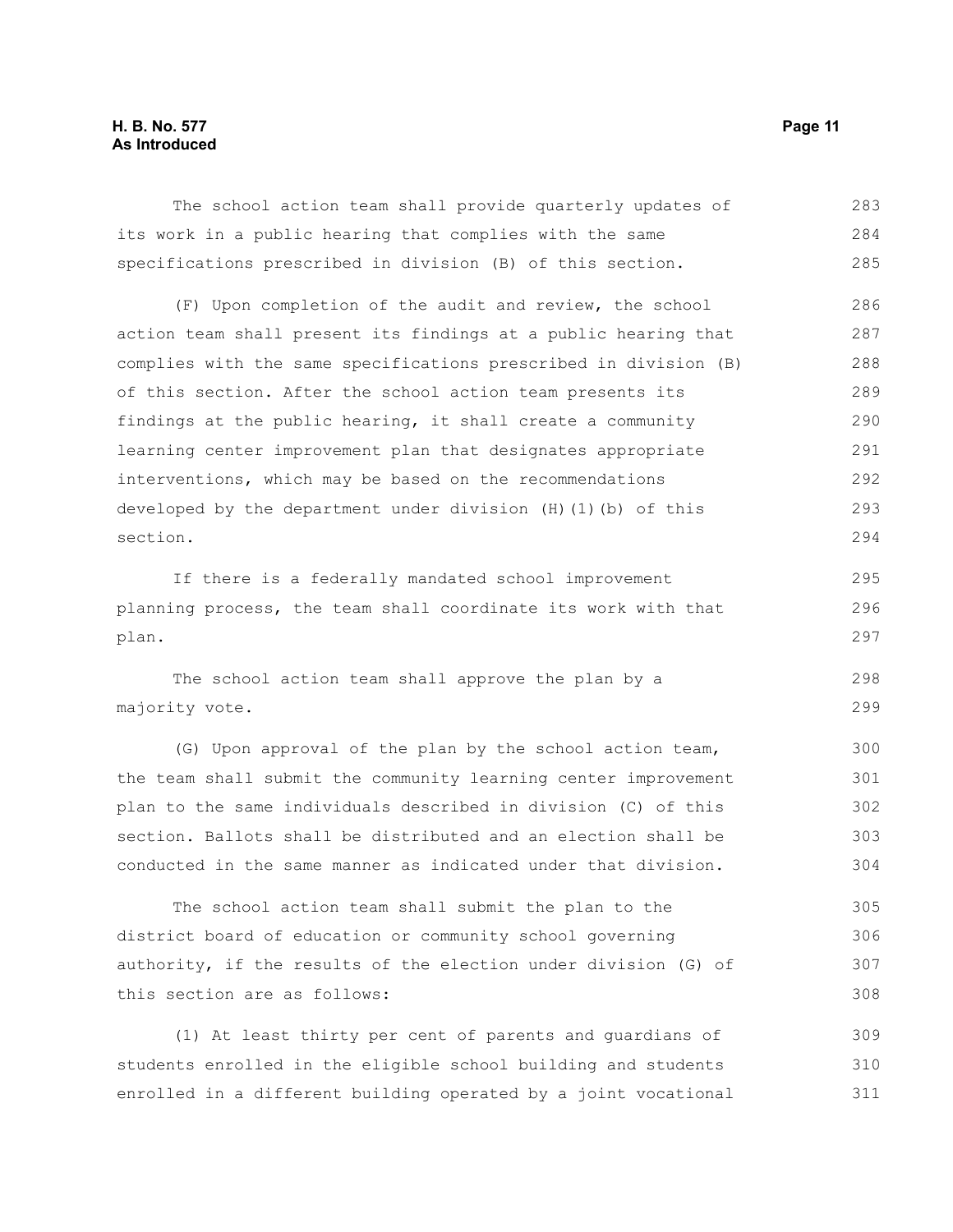The school action team shall provide quarterly updates of its work in a public hearing that complies with the same specifications prescribed in division (B) of this section. 283 284 285

(F) Upon completion of the audit and review, the school action team shall present its findings at a public hearing that complies with the same specifications prescribed in division (B) of this section. After the school action team presents its findings at the public hearing, it shall create a community learning center improvement plan that designates appropriate interventions, which may be based on the recommendations developed by the department under division (H)(1)(b) of this section. 286 287 288 289 290 291 292 293 294

If there is a federally mandated school improvement planning process, the team shall coordinate its work with that plan.

The school action team shall approve the plan by a majority vote. 298 299

(G) Upon approval of the plan by the school action team, the team shall submit the community learning center improvement plan to the same individuals described in division (C) of this section. Ballots shall be distributed and an election shall be conducted in the same manner as indicated under that division.

The school action team shall submit the plan to the district board of education or community school governing authority, if the results of the election under division (G) of this section are as follows: 305 306 307 308

(1) At least thirty per cent of parents and guardians of students enrolled in the eligible school building and students enrolled in a different building operated by a joint vocational 309 310 311

295 296 297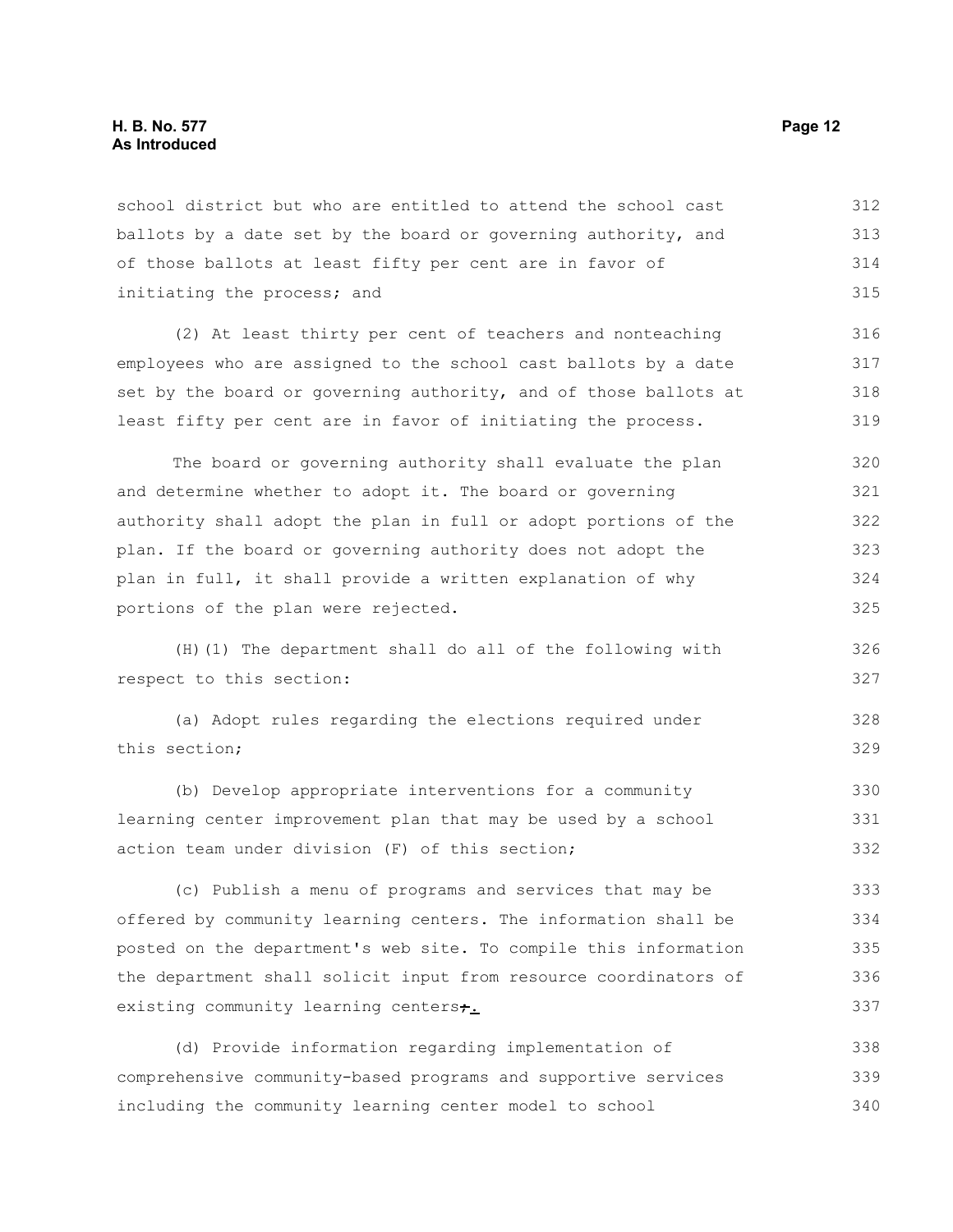school district but who are entitled to attend the school cast ballots by a date set by the board or governing authority, and of those ballots at least fifty per cent are in favor of initiating the process; and 312 313 314 315

(2) At least thirty per cent of teachers and nonteaching employees who are assigned to the school cast ballots by a date set by the board or governing authority, and of those ballots at least fifty per cent are in favor of initiating the process. 316 317 318 319

The board or governing authority shall evaluate the plan and determine whether to adopt it. The board or governing authority shall adopt the plan in full or adopt portions of the plan. If the board or governing authority does not adopt the plan in full, it shall provide a written explanation of why portions of the plan were rejected. 320 321 322 323 324 325

(H)(1) The department shall do all of the following with respect to this section: 326 327

```
(a) Adopt rules regarding the elections required under
this section;
                                                                            328
                                                                            329
```
(b) Develop appropriate interventions for a community learning center improvement plan that may be used by a school action team under division (F) of this section; 330 331 332

(c) Publish a menu of programs and services that may be offered by community learning centers. The information shall be posted on the department's web site. To compile this information the department shall solicit input from resource coordinators of existing community learning centerst. 333 334 335 336 337

(d) Provide information regarding implementation of comprehensive community-based programs and supportive services including the community learning center model to school 338 339 340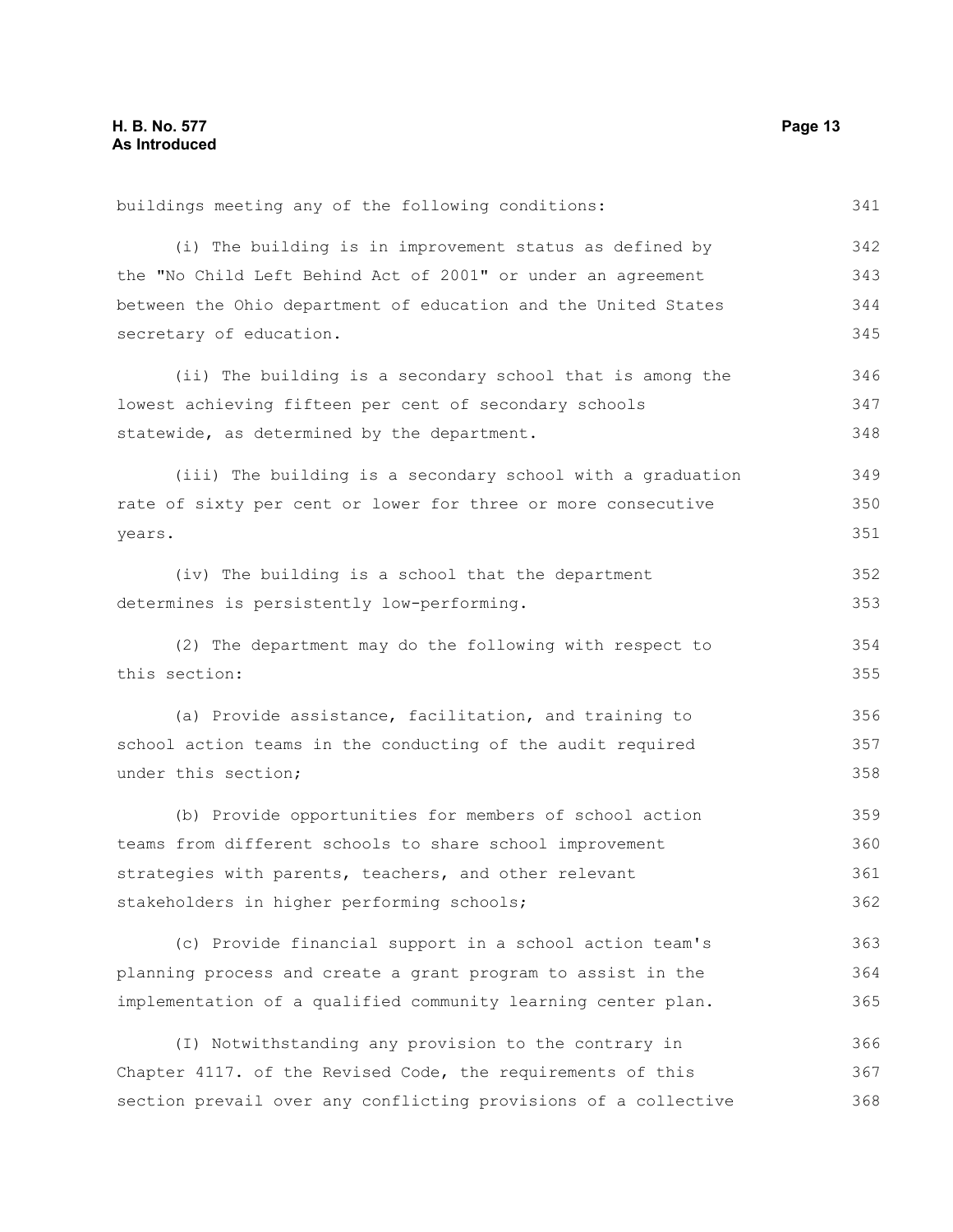buildings meeting any of the following conditions: (i) The building is in improvement status as defined by the "No Child Left Behind Act of 2001" or under an agreement between the Ohio department of education and the United States secretary of education. (ii) The building is a secondary school that is among the lowest achieving fifteen per cent of secondary schools statewide, as determined by the department. (iii) The building is a secondary school with a graduation rate of sixty per cent or lower for three or more consecutive years. (iv) The building is a school that the department determines is persistently low-performing. (2) The department may do the following with respect to this section: (a) Provide assistance, facilitation, and training to school action teams in the conducting of the audit required under this section; (b) Provide opportunities for members of school action teams from different schools to share school improvement strategies with parents, teachers, and other relevant stakeholders in higher performing schools; (c) Provide financial support in a school action team's planning process and create a grant program to assist in the implementation of a qualified community learning center plan. (I) Notwithstanding any provision to the contrary in 341 342 343 344 345 346 347 348 349 350 351 352 353 354 355 356 357 358 359 360 361 362 363 364 365 366

Chapter 4117. of the Revised Code, the requirements of this section prevail over any conflicting provisions of a collective 367 368